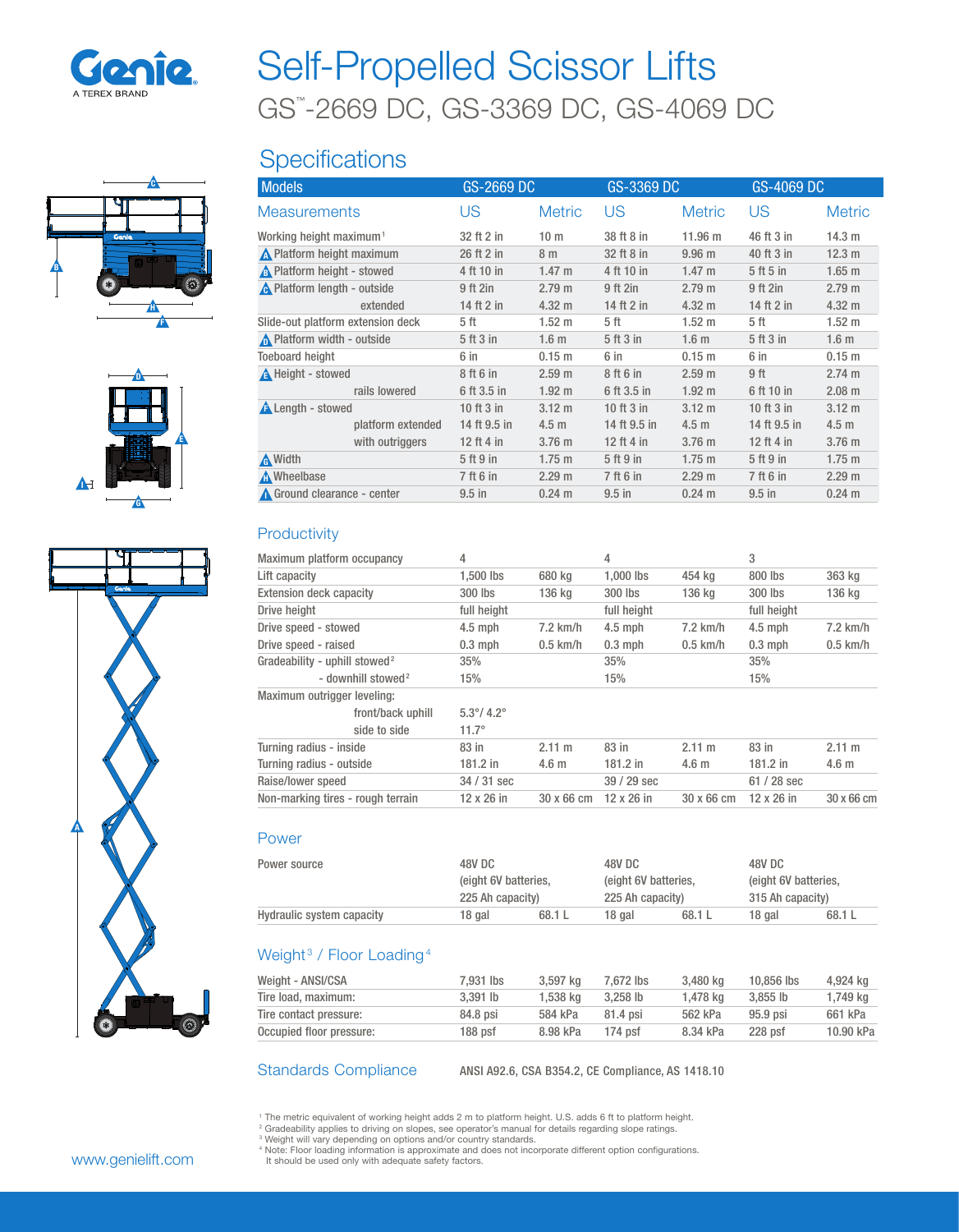

# GS™ -2669 DC, GS-3369 DC, GS-4069 DC Self-Propelled Scissor Lifts

# **Specifications**

| <b>Models</b>                       |                   | GS-2669 DC   |                   | GS-3369 DC   |                   | GS-4069 DC   |                   |
|-------------------------------------|-------------------|--------------|-------------------|--------------|-------------------|--------------|-------------------|
| <b>Measurements</b>                 |                   | US           | <b>Metric</b>     | US           | <b>Metric</b>     | US           | <b>Metric</b>     |
| Working height maximum <sup>1</sup> |                   | 32 ft 2 in   | 10 <sub>m</sub>   | 38 ft 8 in   | 11.96 m           | 46 ft 3 in   | 14.3 m            |
| N Platform height maximum           |                   | 26 ft 2 in   | 8 m               | 32 ft 8 in   | 9.96 <sub>m</sub> | 40 ft 3 in   | 12.3 m            |
| No. Platform height - stowed        |                   | 4 ft 10 in   | $1.47 \text{ m}$  | 4 ft 10 in   | $1.47 \text{ m}$  | 5 ft 5 in    | $1.65$ m          |
| A Platform length - outside         |                   | 9 ft 2in     | 2.79 m            | 9 ft 2in     | 2.79 m            | 9 ft 2in     | 2.79 m            |
|                                     | extended          | 14 ft 2 in   | $4.32 \text{ m}$  | 14 ft 2 in   | $4.32 \text{ m}$  | 14 ft 2 in   | $4.32 \text{ m}$  |
| Slide-out platform extension deck   |                   | 5 ft         | $1.52 \text{ m}$  | 5 ft         | 1.52 m            | 5 ft         | $1.52 \text{ m}$  |
| Platform width - outside            |                   | 5 ft 3 in    | 1.6 <sub>m</sub>  | 5 ft 3 in    | 1.6 <sub>m</sub>  | 5 ft 3 in    | 1.6 <sub>m</sub>  |
| <b>Toeboard height</b>              |                   | 6 in         | 0.15 <sub>m</sub> | 6 in         | 0.15 <sub>m</sub> | 6 in         | 0.15 <sub>m</sub> |
| <b>A</b> Height - stowed            |                   | 8 ft 6 in    | 2.59 <sub>m</sub> | 8 ft 6 in    | 2.59 <sub>m</sub> | 9 ft         | 2.74 m            |
|                                     | rails lowered     | 6 ft 3.5 in  | 1.92 <sub>m</sub> | 6 ft 3.5 in  | 1.92 <sub>m</sub> | 6 ft 10 in   | $2.08$ m          |
| <b>A</b> Length - stowed            |                   | 10 ft $3$ in | $3.12 \text{ m}$  | 10 ft 3 in   | $3.12 \text{ m}$  | 10 ft 3 in   | $3.12 \text{ m}$  |
|                                     | platform extended | 14 ft 9.5 in | 4.5 <sub>m</sub>  | 14 ft 9.5 in | 4.5 <sub>m</sub>  | 14 ft 9.5 in | 4.5 <sub>m</sub>  |
|                                     | with outriggers   | 12 ft 4 in   | 3.76 <sub>m</sub> | 12 ft 4 in   | $3.76$ m          | 12 ft 4 in   | 3.76 m            |
| <b>A</b> Width                      |                   | 5 ft 9 in    | $1.75 \text{ m}$  | 5 ft 9 in    | $1.75 \text{ m}$  | 5 ft 9 in    | $1.75 \text{ m}$  |
| <b>A</b> Wheelbase                  |                   | 7 ft 6 in    | 2.29 m            | 7 ft 6 in    | 2.29 m            | 7 ft 6 in    | 2.29 m            |
| Ground clearance - center           |                   | $9.5$ in     | $0.24 \text{ m}$  | $9.5$ in     | $0.24 \text{ m}$  | $9.5$ in     | $0.24 \text{ m}$  |
|                                     |                   |              |                   |              |                   |              |                   |

# **Productivity**

| Maximum platform occupancy                | 4                          |                  | 4                 |                  | 3           |                   |
|-------------------------------------------|----------------------------|------------------|-------------------|------------------|-------------|-------------------|
| Lift capacity                             | 1.500 lbs                  | 680 kg           | 1.000 lbs         | 454 kg           | 800 lbs     | 363 kg            |
| <b>Extension deck capacity</b>            | 300 lbs                    | 136 kg           | 300 lbs           | 136 kg           | 300 lbs     | 136 kg            |
| Drive height                              | full height                |                  | full height       |                  | full height |                   |
| Drive speed - stowed                      | $4.5$ mph                  | $7.2$ km/h       | $4.5$ mph         | $7.2$ km/h       | $4.5$ mph   | $7.2$ km/h        |
| Drive speed - raised                      | $0.3$ mph                  | $0.5$ km/h       | $0.3$ mph         | $0.5$ km/h       | $0.3$ mph   | $0.5$ km/h        |
| Gradeability - uphill stowed <sup>2</sup> | 35%                        |                  | 35%               |                  | 35%         |                   |
| - downhill stowed <sup>2</sup>            | 15%                        |                  | 15%               |                  | 15%         |                   |
| Maximum outrigger leveling:               |                            |                  |                   |                  |             |                   |
| front/back uphill                         | $5.3^{\circ}/ 4.2^{\circ}$ |                  |                   |                  |             |                   |
| side to side                              | $11.7^{\circ}$             |                  |                   |                  |             |                   |
| Turning radius - inside                   | 83 in                      | $2.11 \text{ m}$ | 83 in             | $2.11 \text{ m}$ | 83 in       | $2.11 \text{ m}$  |
| Turning radius - outside                  | 181.2 in                   | 4.6 <sub>m</sub> | 181.2 in          | 4.6 <sub>m</sub> | 181.2 in    | 4.6 <sub>m</sub>  |
| Raise/lower speed                         | 34 / 31 sec                |                  | 39 / 29 sec       |                  | $61/28$ sec |                   |
| Non-marking tires - rough terrain         | $12 \times 26$ in          | 30 x 66 cm       | $12 \times 26$ in | 30 x 66 cm       | 12 x 26 in  | $30 \times 66$ cm |

## Power

| Power source              | 48V DC               |        | 48V DC           |                      |                  | 48V DC               |  |
|---------------------------|----------------------|--------|------------------|----------------------|------------------|----------------------|--|
|                           | (eight 6V batteries, |        |                  | (eight 6V batteries, |                  | (eight 6V batteries, |  |
|                           | 225 Ah capacity)     |        | 225 Ah capacity) |                      | 315 Ah capacity) |                      |  |
| Hydraulic system capacity | 18 gal               | 68.1 L | 18 gal           | 68.1 L               | 18 gal           | 68.1 L               |  |

# Weight<sup>3</sup> / Floor Loading<sup>4</sup>

| Weight - ANSI/CSA        | 7.931 lbs | 3.597 kg | 7.672 lbs  | 3.480 ka | 10.856 lbs | 4,924 kg  |
|--------------------------|-----------|----------|------------|----------|------------|-----------|
| Tire load, maximum:      | 3.391 lb  | 1.538 ka | $3.258$ lb | 1.478 ka | $3.855$ lb | 1,749 kg  |
| Tire contact pressure:   | 84.8 psi  | 584 kPa  | 81.4 psi   | 562 kPa  | $95.9$ psi | 661 kPa   |
| Occupied floor pressure: | 188 psf   | 8.98 kPa | $174$ psf  | 8.34 kPa | $228$ psf  | 10.90 kPa |

Standards Compliance ANSI A92.6, CSA B354.2, CE Compliance, AS 1418.10

<sup>1</sup> The metric equivalent of working height adds 2 m to platform height. U.S. adds 6 ft to platform height.

<sup>2</sup> Gradeability applies to driving on slopes, see operator's manual for details regarding slope ratings.

<sup>s</sup> Weight will vary depending on options and/or country standards.<br><sup>4</sup> Note: Floor loading information is approximate and does not incorporate different option configurations.<br>- It should be used only with adequate safety